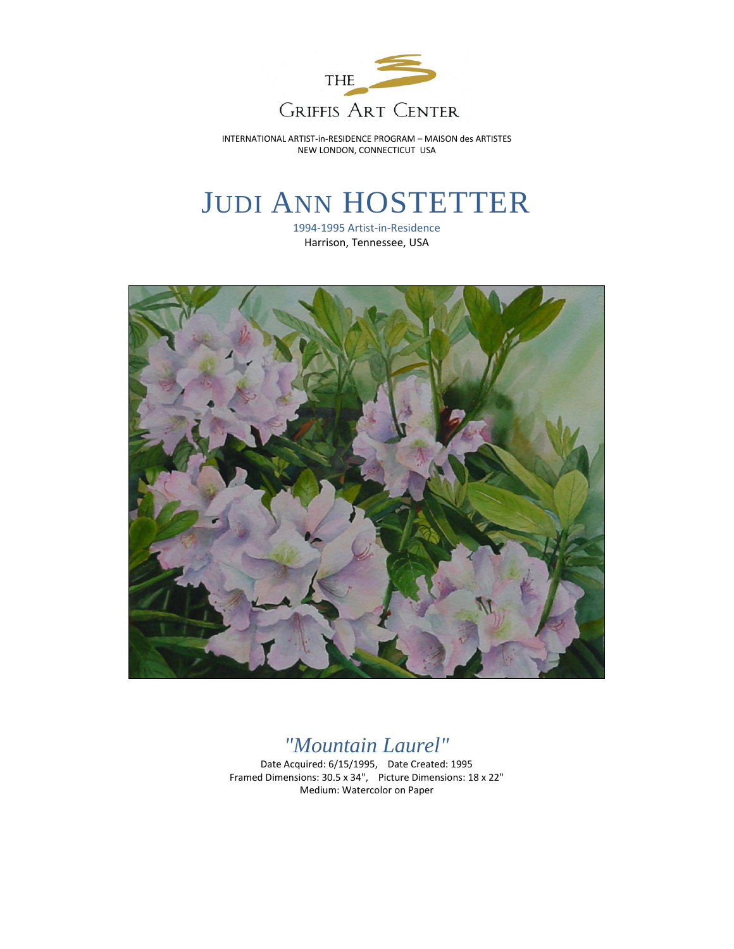

INTERNATIONAL ARTIST-in-RESIDENCE PROGRAM – MAISON des ARTISTES NEW LONDON, CONNECTICUT USA

## JUDI ANN HOSTETTER

1994-1995 Artist-in-Residence Harrison, Tennessee, USA



## *"Mountain Laurel"*

Date Acquired: 6/15/1995, Date Created: 1995 Framed Dimensions: 30.5 x 34", Picture Dimensions: 18 x 22" Medium: Watercolor on Paper